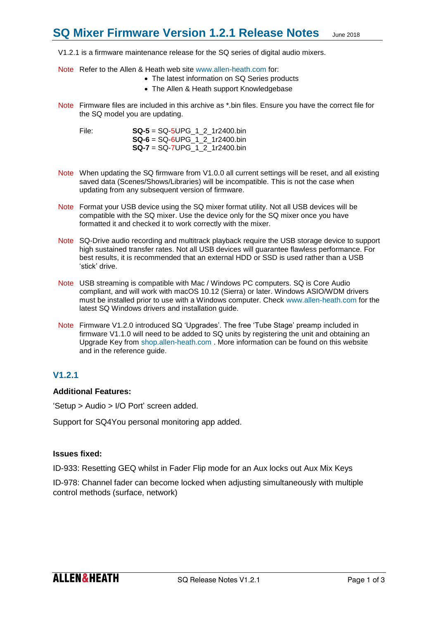V1.2.1 is a firmware maintenance release for the SQ series of digital audio mixers.

- Note Refer to the Allen & Heath web site [www.allen-heath.com](http://www.allen-heath.com/) for:
	- The latest information on SQ Series products
	- The Allen & Heath support Knowledgebase
- Note Firmware files are included in this archive as \*.bin files. Ensure you have the correct file for the SQ model you are updating.
	- File: **SQ-5** = SQ-5UPG\_1\_2\_1r2400.bin **SQ-6** = SQ-6UPG\_1\_2\_1r2400.bin **SQ-7** = SQ-7UPG\_1\_2\_1r2400.bin
- Note When updating the SQ firmware from V1.0.0 all current settings will be reset, and all existing saved data (Scenes/Shows/Libraries) will be incompatible. This is not the case when updating from any subsequent version of firmware.
- Note Format your USB device using the SQ mixer format utility. Not all USB devices will be compatible with the SQ mixer. Use the device only for the SQ mixer once you have formatted it and checked it to work correctly with the mixer.
- Note SQ-Drive audio recording and multitrack playback require the USB storage device to support high sustained transfer rates. Not all USB devices will guarantee flawless performance. For best results, it is recommended that an external HDD or SSD is used rather than a USB 'stick' drive.
- Note USB streaming is compatible with Mac / Windows PC computers. SQ is Core Audio compliant, and will work with macOS 10.12 (Sierra) or later. Windows ASIO/WDM drivers must be installed prior to use with a Windows computer. Check [www.allen-heath.com](http://www.allen-heath.com/) for the latest SQ Windows drivers and installation guide.
- Note Firmware V1.2.0 introduced SQ 'Upgrades'. The free 'Tube Stage' preamp included in firmware V1.1.0 will need to be added to SQ units by registering the unit and obtaining an Upgrade Key from [shop.allen-heath.com](http://shop.allen-heath.com/) . More information can be found on this website and in the reference quide.

## **V1.2.1**

## **Additional Features:**

'Setup > Audio > I/O Port' screen added.

Support for SQ4You personal monitoring app added.

### **Issues fixed:**

ID-933: Resetting GEQ whilst in Fader Flip mode for an Aux locks out Aux Mix Keys

ID-978: Channel fader can become locked when adjusting simultaneously with multiple control methods (surface, network)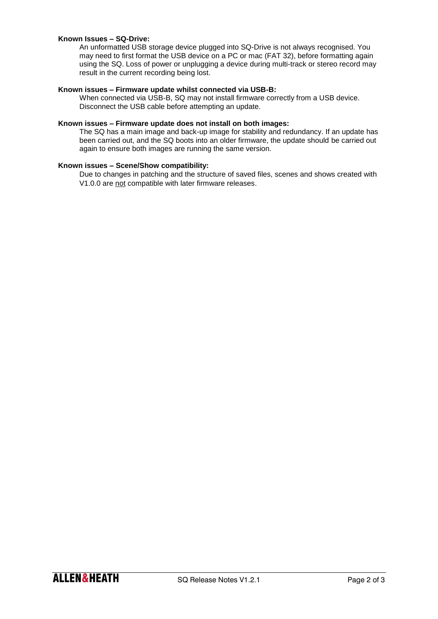## **Known Issues – SQ-Drive:**

An unformatted USB storage device plugged into SQ-Drive is not always recognised. You may need to first format the USB device on a PC or mac (FAT 32), before formatting again using the SQ. Loss of power or unplugging a device during multi-track or stereo record may result in the current recording being lost.

### **Known issues – Firmware update whilst connected via USB-B:**

When connected via USB-B, SQ may not install firmware correctly from a USB device. Disconnect the USB cable before attempting an update.

#### **Known issues – Firmware update does not install on both images:**

The SQ has a main image and back-up image for stability and redundancy. If an update has been carried out, and the SQ boots into an older firmware, the update should be carried out again to ensure both images are running the same version.

## **Known issues – Scene/Show compatibility:**

Due to changes in patching and the structure of saved files, scenes and shows created with V1.0.0 are not compatible with later firmware releases.